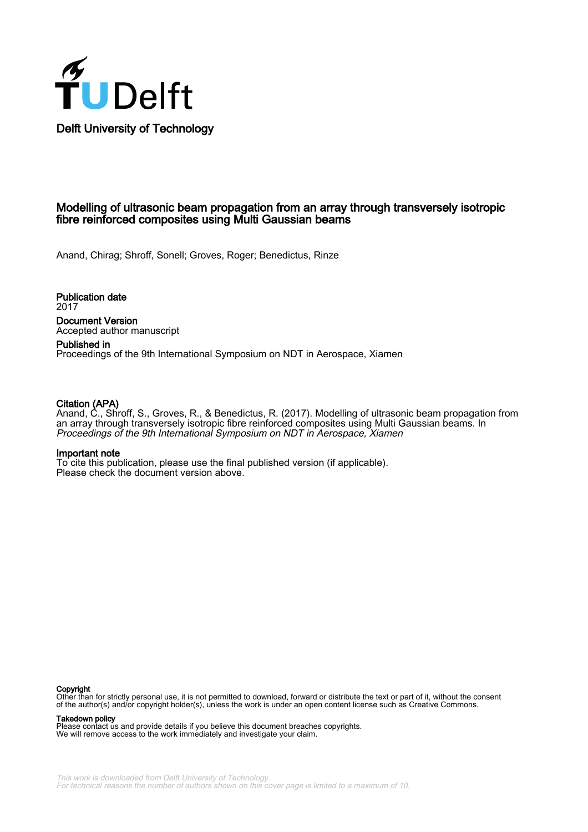

### Modelling of ultrasonic beam propagation from an array through transversely isotropic fibre reinforced composites using Multi Gaussian beams

Anand, Chirag; Shroff, Sonell; Groves, Roger; Benedictus, Rinze

Publication date 2017 Document Version Accepted author manuscript

Published in Proceedings of the 9th International Symposium on NDT in Aerospace, Xiamen

#### Citation (APA)

Anand, C., Shroff, S., Groves, R., & Benedictus, R. (2017). Modelling of ultrasonic beam propagation from an array through transversely isotropic fibre reinforced composites using Multi Gaussian beams. In Proceedings of the 9th International Symposium on NDT in Aerospace, Xiamen

#### Important note

To cite this publication, please use the final published version (if applicable). Please check the document version above.

#### Copyright

Other than for strictly personal use, it is not permitted to download, forward or distribute the text or part of it, without the consent of the author(s) and/or copyright holder(s), unless the work is under an open content license such as Creative Commons.

#### Takedown policy

Please contact us and provide details if you believe this document breaches copyrights. We will remove access to the work immediately and investigate your claim.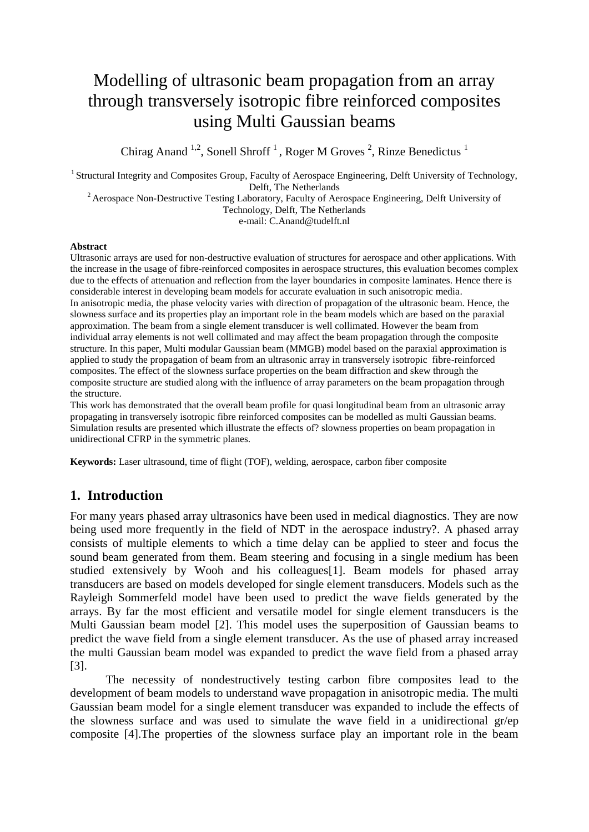# Modelling of ultrasonic beam propagation from an array through transversely isotropic fibre reinforced composites using Multi Gaussian beams

Chirag Anand <sup>1,2</sup>, Sonell Shroff<sup>1</sup>, Roger M Groves<sup>2</sup>, Rinze Benedictus<sup>1</sup>

<sup>1</sup> Structural Integrity and Composites Group, Faculty of Aerospace Engineering, Delft University of Technology, Delft, The Netherlands

<sup>2</sup> Aerospace Non-Destructive Testing Laboratory, Faculty of Aerospace Engineering, Delft University of Technology, Delft, The Netherlands

e-mail: C.Anand@tudelft.nl

#### **Abstract**

Ultrasonic arrays are used for non-destructive evaluation of structures for aerospace and other applications. With the increase in the usage of fibre-reinforced composites in aerospace structures, this evaluation becomes complex due to the effects of attenuation and reflection from the layer boundaries in composite laminates. Hence there is considerable interest in developing beam models for accurate evaluation in such anisotropic media. In anisotropic media, the phase velocity varies with direction of propagation of the ultrasonic beam. Hence, the slowness surface and its properties play an important role in the beam models which are based on the paraxial approximation. The beam from a single element transducer is well collimated. However the beam from individual array elements is not well collimated and may affect the beam propagation through the composite structure. In this paper, Multi modular Gaussian beam (MMGB) model based on the paraxial approximation is applied to study the propagation of beam from an ultrasonic array in transversely isotropic fibre-reinforced composites. The effect of the slowness surface properties on the beam diffraction and skew through the composite structure are studied along with the influence of array parameters on the beam propagation through the structure.

This work has demonstrated that the overall beam profile for quasi longitudinal beam from an ultrasonic array propagating in transversely isotropic fibre reinforced composites can be modelled as multi Gaussian beams. Simulation results are presented which illustrate the effects of? slowness properties on beam propagation in unidirectional CFRP in the symmetric planes.

**Keywords:** Laser ultrasound, time of flight (TOF), welding, aerospace, carbon fiber composite

# **1. Introduction**

For many years phased array ultrasonics have been used in medical diagnostics. They are now being used more frequently in the field of NDT in the aerospace industry?. A phased array consists of multiple elements to which a time delay can be applied to steer and focus the sound beam generated from them. Beam steering and focusing in a single medium has been studied extensively by Wooh and his colleagues[1]. Beam models for phased array transducers are based on models developed for single element transducers. Models such as the Rayleigh Sommerfeld model have been used to predict the wave fields generated by the arrays. By far the most efficient and versatile model for single element transducers is the Multi Gaussian beam model [2]. This model uses the superposition of Gaussian beams to predict the wave field from a single element transducer. As the use of phased array increased the multi Gaussian beam model was expanded to predict the wave field from a phased array [3].

The necessity of nondestructively testing carbon fibre composites lead to the development of beam models to understand wave propagation in anisotropic media. The multi Gaussian beam model for a single element transducer was expanded to include the effects of the slowness surface and was used to simulate the wave field in a unidirectional gr/ep composite [4].The properties of the slowness surface play an important role in the beam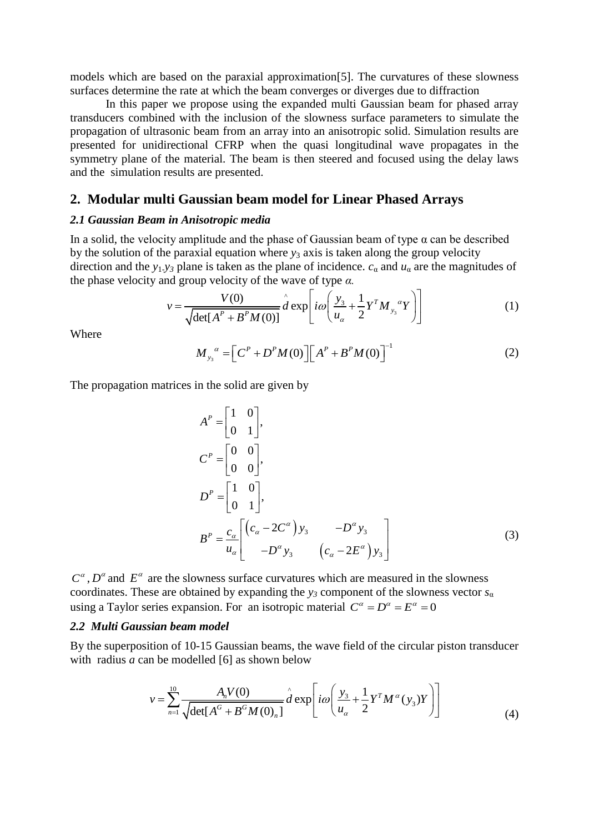models which are based on the paraxial approximation[5]. The curvatures of these slowness surfaces determine the rate at which the beam converges or diverges due to diffraction

In this paper we propose using the expanded multi Gaussian beam for phased array transducers combined with the inclusion of the slowness surface parameters to simulate the propagation of ultrasonic beam from an array into an anisotropic solid. Simulation results are presented for unidirectional CFRP when the quasi longitudinal wave propagates in the symmetry plane of the material. The beam is then steered and focused using the delay laws and the simulation results are presented.

# **2. Modular multi Gaussian beam model for Linear Phased Arrays**

#### *2.1 Gaussian Beam in Anisotropic media*

In a solid, the velocity amplitude and the phase of Gaussian beam of type  $\alpha$  can be described by the solution of the paraxial equation where *y*<sup>3</sup> axis is taken along the group velocity direction and the *y*<sub>1</sub>-*y*<sub>*3*</sub> plane is taken as the plane of incidence. *c*<sub>α</sub> and *u*<sub>α</sub> are the magnitudes of the phase velocity and group velocity of the wave of type *α*.<br> $V = \frac{V(0)}{d} \left( \frac{y_3}{d} + \frac{1}{2} Y^T M a Y \right)$ 

the phase velocity and group velocity of the wave of type 
$$
\alpha
$$
.  
\n
$$
v = \frac{V(0)}{\sqrt{\det[A^P + B^P M(0)]}} \hat{d} \exp \left[ i\omega \left( \frac{y_3}{u_\alpha} + \frac{1}{2} Y^T M_{y_3}{}^{\alpha} Y \right) \right]
$$
\n(1)

Where

$$
M_{y_3}^{\alpha} = \left[ C^P + D^P M(0) \right] \left[ A^P + B^P M(0) \right]^{-1}
$$
 (2)

The propagation matrices in the solid are given by

$$
A^{P} = \begin{bmatrix} 1 & 0 \\ 0 & 1 \end{bmatrix},
$$
  
\n
$$
C^{P} = \begin{bmatrix} 0 & 0 \\ 0 & 0 \end{bmatrix},
$$
  
\n
$$
D^{P} = \begin{bmatrix} 1 & 0 \\ 0 & 1 \end{bmatrix},
$$
  
\n
$$
B^{P} = \frac{c_{\alpha}}{u_{\alpha}} \begin{bmatrix} (c_{\alpha} - 2C^{\alpha}) y_{3} & -D^{\alpha} y_{3} \\ -D^{\alpha} y_{3} & (c_{\alpha} - 2E^{\alpha}) y_{3} \end{bmatrix}
$$
\n(3)

 $C^{\alpha}$ ,  $D^{\alpha}$  and  $E^{\alpha}$  are the slowness surface curvatures which are measured in the slowness coordinates. These are obtained by expanding the  $y_3$  component of the slowness vector  $s_\alpha$ using a Taylor series expansion. For an isotropic material  $C^{\alpha} = D^{\alpha} = E^{\alpha} = 0$ 

## *2.2 Multi Gaussian beam model*

By the superposition of 10-15 Gaussian beams, the wave field of the circular piston transducer with radius *a* can be modelled [6] as shown below

in be modelled [6] as shown below  
\n
$$
v = \sum_{n=1}^{10} \frac{A_n V(0)}{\sqrt{\det[A^G + B^G M(0)_n]}} \hat{d} \exp \left[ i\omega \left( \frac{y_3}{u_\alpha} + \frac{1}{2} Y^T M^\alpha (y_3) Y \right) \right]
$$
\n(4)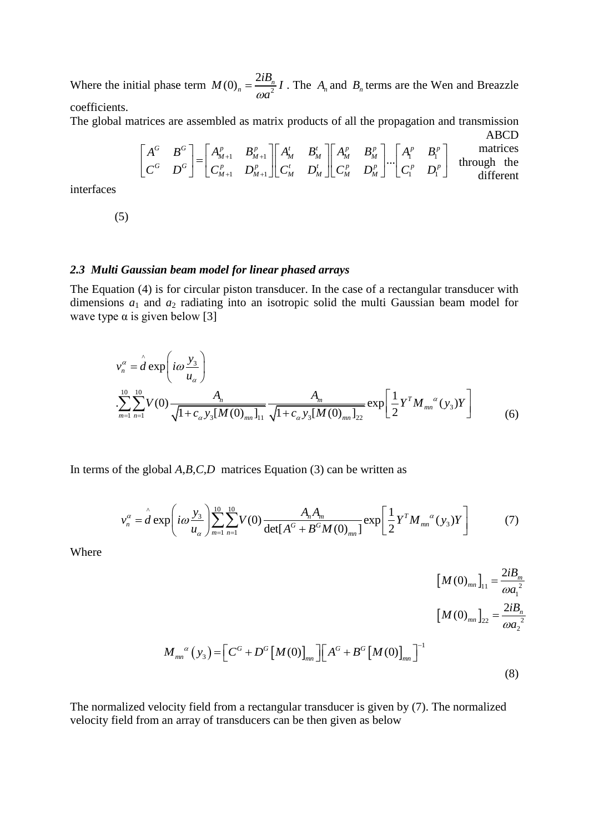Where the initial phase term  $M(0)_n = \frac{2i2n}{\omega a^2}$  $M(0)_n = \frac{2iB_n}{2}I$ *a*  $=\frac{2iB_n}{\omega a^2}I$ . The  $A_n$  and  $B_n$  terms are the Wen and Breazzle coefficients.

ABCD

The global matrices are assembled as matrix products of all the propagation and transmission ABCD\n
$$
\begin{bmatrix}\nA^G & B^G \\
C^G & D^G\n\end{bmatrix} = \begin{bmatrix}\nA_{M+1}^p & B_{M+1}^p \\
C_{M+1}^p & D_{M+1}^p\n\end{bmatrix} \begin{bmatrix}\nA_M^t & B_M^t \\
C_M^t & D_M^t\n\end{bmatrix} \begin{bmatrix}\nA_1^p & B_1^p \\
C_M^p & D_M^p\n\end{bmatrix} \cdots \begin{bmatrix}\nA_1^p & B_1^p \\
C_1^p & D_1^p\n\end{bmatrix}
$$
\n
$$
\begin{bmatrix}\nA_1^c & B_1^c \\
B_1^c & D_1^p\n\end{bmatrix}
$$
\n
$$
\begin{bmatrix}\nA_1^c & B_1^c \\
B_1^c & D_1^c\n\end{bmatrix} = \begin{bmatrix}\nA_{M+1}^p & B_{M+1}^p \\
C_{M+1}^p & D_{M+1}^p\n\end{bmatrix} \begin{bmatrix}\nA_M^p & B_M^p \\
C_M^p & D_M^p\n\end{bmatrix} \cdots \begin{bmatrix}\nA_1^p & B_1^p \\
C_1^p & D_1^p\n\end{bmatrix}
$$
\n
$$
\begin{bmatrix}\nA_1^p & B_1^p \\
B_1^p & D_1^p\n\end{bmatrix}
$$

interfaces

(5)

#### *2.3 Multi Gaussian beam model for linear phased arrays*

The Equation (4) is for circular piston transducer. In the case of a rectangular transducer with dimensions *a*<sup>1</sup> and *a*<sup>2</sup> radiating into an isotropic solid the multi Gaussian beam model for wave type  $\alpha$  is given below [3]

e 
$$
\alpha
$$
 is given below [3]  
\n
$$
v_n^{\alpha} = \hat{d} \exp \left( i \omega \frac{y_3}{u_{\alpha}} \right)
$$
\n
$$
\left[ \sum_{m=1}^{10} \sum_{n=1}^{10} V(0) \frac{A_n}{\sqrt{1 + c_{\alpha} y_3[M(0)_{mn}]} \frac{A_m}{\sqrt{1 + c_{\alpha} y_3[M(0)_{mn}]} \frac{A_m}{22}} \exp \left[ \frac{1}{2} Y^T M_{mn}^{\alpha}(y_3) Y \right] \right]
$$
(6)

In terms of the global *A,B,C,D* matrices Equation (3) can be written as

f the global *A*, *B*, *C*, *D* matrices Equation (3) can be written as  
\n
$$
v_n^{\alpha} = \hat{d} \exp \left( i \omega \frac{y_3}{u_{\alpha}} \right) \sum_{m=1}^{10} \sum_{n=1}^{10} V(0) \frac{A_n A_m}{\det[A^G + B^G M(0)_{mn}]} \exp \left[ \frac{1}{2} Y^T M_{mn}^{\alpha}(y_3) Y \right]
$$
(7)

Where

$$
[M(0)_{mn}]_{11} = \frac{2iB_m}{\omega a_1^2}
$$
  

$$
[M(0)_{mn}]_{22} = \frac{2iB_n}{\omega a_2^2}
$$
  

$$
M_{mn}^{\alpha}(y_3) = [C^G + D^G[M(0)]_{mn}] [A^G + B^G[M(0)]_{mn}]^{-1}
$$
  
(8)

The normalized velocity field from a rectangular transducer is given by (7). The normalized velocity field from an array of transducers can be then given as below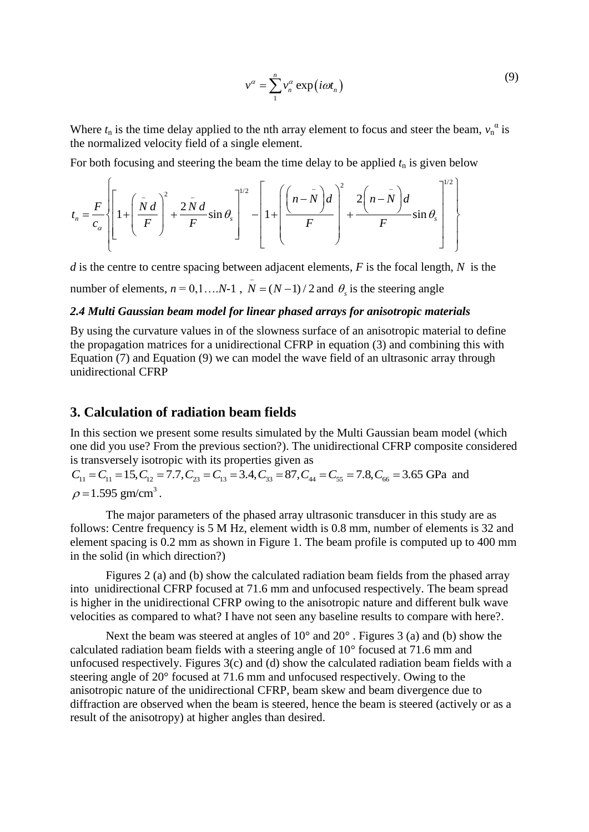$$
v^{\alpha} = \sum_{1}^{n} v_n^{\alpha} \exp(i\omega t_n)
$$
 (9)

Where  $t_n$  is the time delay applied to the nth array element to focus and steer the beam,  $v_n^{\alpha}$  is the normalized velocity field of a single element.

the normalized velocity field of a single element.  
For both focusing and steering the beam the time delay to be applied 
$$
t_n
$$
 is given below  

$$
t_n = \frac{F}{c_\alpha} \left\{ \left[ 1 + \left( \frac{\bar{N} d}{F} \right)^2 + \frac{2 \bar{N} d}{F} \sin \theta_s \right]^{1/2} - \left[ 1 + \left( \frac{\left( n - \bar{N} \right) d}{F} \right)^2 + \frac{2 \left( n - \bar{N} \right) d}{F} \sin \theta_s \right]^{1/2} \right\}
$$

*d* is the centre to centre spacing between adjacent elements, *F* is the focal length, *N* is the

number of elements,  $n = 0, 1, ..., N-1$ ,  $\overline{N} = (N-1)/2$  and  $\theta_s$  is the steering angle

# *2.4 Multi Gaussian beam model for linear phased arrays for anisotropic materials*

By using the curvature values in of the slowness surface of an anisotropic material to define the propagation matrices for a unidirectional CFRP in equation (3) and combining this with Equation (7) and Equation (9) we can model the wave field of an ultrasonic array through unidirectional CFRP

# **3. Calculation of radiation beam fields**

In this section we present some results simulated by the Multi Gaussian beam model (which one did you use? From the previous section?). The unidirectional CFRP composite considered is transversely isotropic with its properties given as In this section we present some results simulated by the Multi Gaussian beam mode one did you use? From the previous section?). The unidirectional CFRP composite is transversely isotropic with its properties given as  $C_{1$ 

and  $\rho = 1.595$  gm/cm<sup>3</sup>.

The major parameters of the phased array ultrasonic transducer in this study are as follows: Centre frequency is 5 M Hz, element width is 0.8 mm, number of elements is 32 and element spacing is 0.2 mm as shown in Figure 1. The beam profile is computed up to 400 mm in the solid (in which direction?)

Figures 2 (a) and (b) show the calculated radiation beam fields from the phased array into unidirectional CFRP focused at 71.6 mm and unfocused respectively. The beam spread is higher in the unidirectional CFRP owing to the anisotropic nature and different bulk wave velocities as compared to what? I have not seen any baseline results to compare with here?.

Next the beam was steered at angles of 10° and 20° . Figures 3 (a) and (b) show the calculated radiation beam fields with a steering angle of 10° focused at 71.6 mm and unfocused respectively. Figures  $3(c)$  and (d) show the calculated radiation beam fields with a steering angle of 20° focused at 71.6 mm and unfocused respectively. Owing to the anisotropic nature of the unidirectional CFRP, beam skew and beam divergence due to diffraction are observed when the beam is steered, hence the beam is steered (actively or as a result of the anisotropy) at higher angles than desired.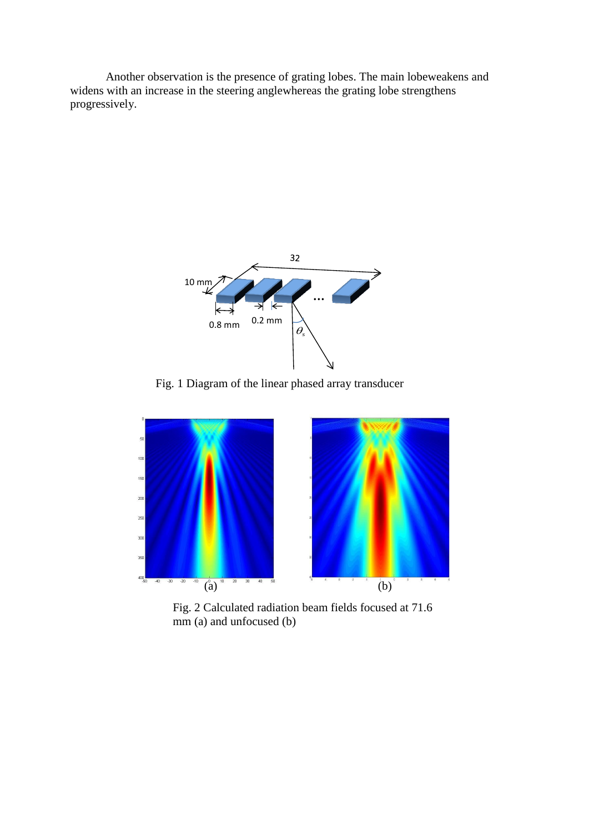Another observation is the presence of grating lobes. The main lobeweakens and widens with an increase in the steering anglewhereas the grating lobe strengthens progressively.



Fig. 1 Diagram of the linear phased array transducer



Fig. 2 Calculated radiation beam fields focused at 71.6 mm (a) and unfocused (b)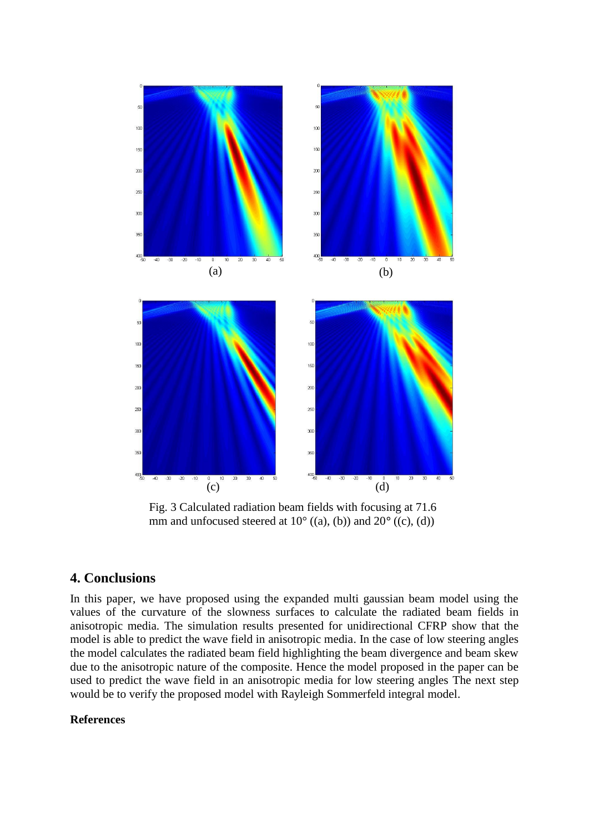

Fig. 3 Calculated radiation beam fields with focusing at 71.6 mm and unfocused steered at 10° ((a), (b)) and 20*°* ((c), (d))

# **4. Conclusions**

In this paper, we have proposed using the expanded multi gaussian beam model using the values of the curvature of the slowness surfaces to calculate the radiated beam fields in anisotropic media. The simulation results presented for unidirectional CFRP show that the model is able to predict the wave field in anisotropic media. In the case of low steering angles the model calculates the radiated beam field highlighting the beam divergence and beam skew due to the anisotropic nature of the composite. Hence the model proposed in the paper can be used to predict the wave field in an anisotropic media for low steering angles The next step would be to verify the proposed model with Rayleigh Sommerfeld integral model.

## **References**